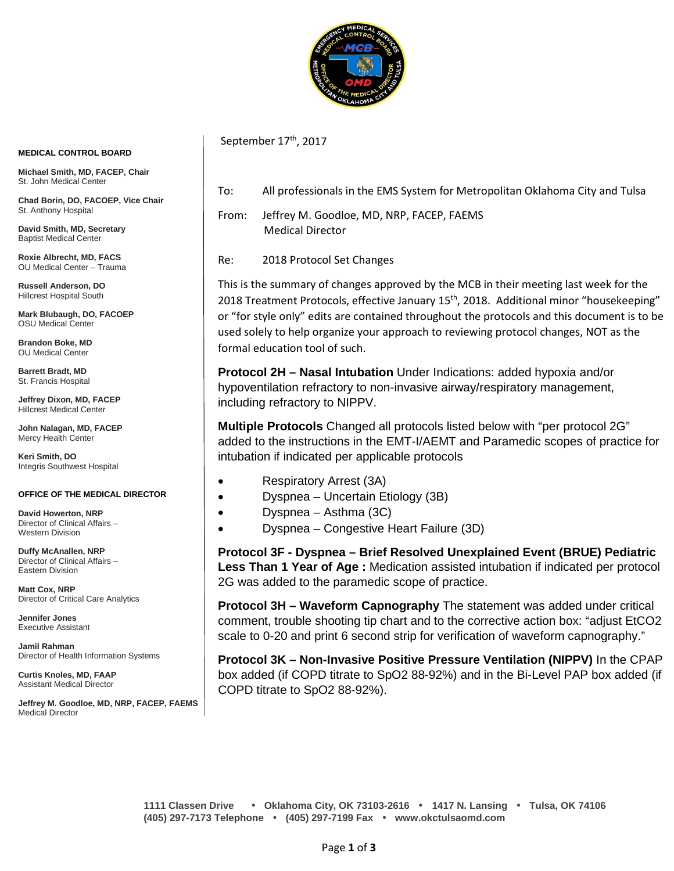

September 17<sup>th</sup>, 2017

To: All professionals in the EMS System for Metropolitan Oklahoma City and Tulsa

From: Jeffrey M. Goodloe, MD, NRP, FACEP, FAEMS Medical Director

Re: 2018 Protocol Set Changes

This is the summary of changes approved by the MCB in their meeting last week for the 2018 Treatment Protocols, effective January  $15<sup>th</sup>$ , 2018. Additional minor "housekeeping" or "for style only" edits are contained throughout the protocols and this document is to be used solely to help organize your approach to reviewing protocol changes, NOT as the formal education tool of such.

**Protocol 2H – Nasal Intubation** Under Indications: added hypoxia and/or hypoventilation refractory to non-invasive airway/respiratory management, including refractory to NIPPV.

**Multiple Protocols** Changed all protocols listed below with "per protocol 2G" added to the instructions in the EMT-I/AEMT and Paramedic scopes of practice for intubation if indicated per applicable protocols

- Respiratory Arrest (3A)
- Dyspnea Uncertain Etiology (3B)
	- Dyspnea Asthma (3C)
- Dyspnea Congestive Heart Failure (3D)

**Protocol 3F - Dyspnea – Brief Resolved Unexplained Event (BRUE) Pediatric Less Than 1 Year of Age :** Medication assisted intubation if indicated per protocol 2G was added to the paramedic scope of practice.

**Protocol 3H – Waveform Capnography** The statement was added under critical comment, trouble shooting tip chart and to the corrective action box: "adjust EtCO2 scale to 0-20 and print 6 second strip for verification of waveform capnography."

**Protocol 3K – Non-Invasive Positive Pressure Ventilation (NIPPV)** In the CPAP box added (if COPD titrate to SpO2 88-92%) and in the Bi-Level PAP box added (if COPD titrate to SpO2 88-92%).

**Michael Smith, MD, FACEP, Chair** St. John Medical Center

**Chad Borin, DO, FACOEP, Vice Chair**  St. Anthony Hospital

**David Smith, MD, Secretary** Baptist Medical Center

**Roxie Albrecht, MD, FACS** OU Medical Center – Trauma

**Russell Anderson, DO** Hillcrest Hospital South

**Mark Blubaugh, DO, FACOEP** OSU Medical Center

**Brandon Boke, MD** OU Medical Center

**Barrett Bradt, MD** St. Francis Hospital

**Jeffrey Dixon, MD, FACEP** Hillcrest Medical Center

**John Nalagan, MD, FACEP** Mercy Health Center

**Keri Smith, DO** Integris Southwest Hospital

#### **OFFICE OF THE MEDICAL DIRECTOR**

**David Howerton, NRP** Director of Clinical Affairs – Western Division

**Duffy McAnallen, NRP** Director of Clinical Affairs – Eastern Division

**Matt Cox, NRP** Director of Critical Care Analytics

**Jennifer Jones** Executive Assistant

**Jamil Rahman** Director of Health Information Systems

**Curtis Knoles, MD, FAAP** Assistant Medical Director

**Jeffrey M. Goodloe, MD, NRP, FACEP, FAEMS** Medical Director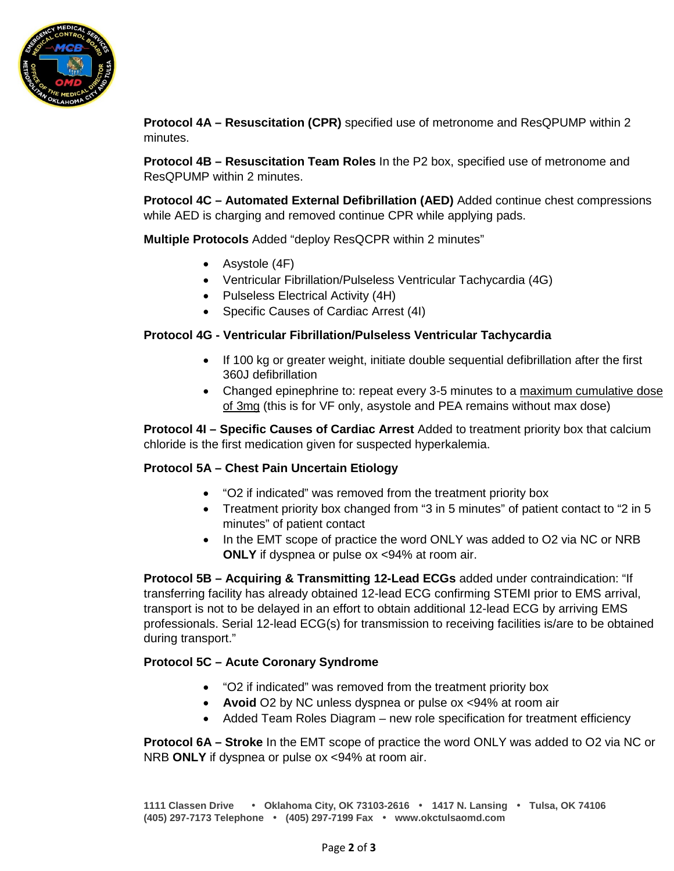

**Protocol 4A – Resuscitation (CPR)** specified use of metronome and ResQPUMP within 2 minutes.

**Protocol 4B – Resuscitation Team Roles** In the P2 box, specified use of metronome and ResQPUMP within 2 minutes.

**Protocol 4C – Automated External Defibrillation (AED)** Added continue chest compressions while AED is charging and removed continue CPR while applying pads.

**Multiple Protocols** Added "deploy ResQCPR within 2 minutes"

- Asystole (4F)
- Ventricular Fibrillation/Pulseless Ventricular Tachycardia (4G)
- Pulseless Electrical Activity (4H)
- Specific Causes of Cardiac Arrest (4I)

### **Protocol 4G - Ventricular Fibrillation/Pulseless Ventricular Tachycardia**

- If 100 kg or greater weight, initiate double sequential defibrillation after the first 360J defibrillation
- Changed epinephrine to: repeat every 3-5 minutes to a maximum cumulative dose of 3mg (this is for VF only, asystole and PEA remains without max dose)

**Protocol 4I – Specific Causes of Cardiac Arrest** Added to treatment priority box that calcium chloride is the first medication given for suspected hyperkalemia.

### **Protocol 5A – Chest Pain Uncertain Etiology**

- "O2 if indicated" was removed from the treatment priority box
- Treatment priority box changed from "3 in 5 minutes" of patient contact to "2 in 5 minutes" of patient contact
- In the EMT scope of practice the word ONLY was added to O2 via NC or NRB **ONLY** if dyspnea or pulse ox <94% at room air.

**Protocol 5B – Acquiring & Transmitting 12-Lead ECGs** added under contraindication: "If transferring facility has already obtained 12-lead ECG confirming STEMI prior to EMS arrival, transport is not to be delayed in an effort to obtain additional 12-lead ECG by arriving EMS professionals. Serial 12-lead ECG(s) for transmission to receiving facilities is/are to be obtained during transport."

# **Protocol 5C – Acute Coronary Syndrome**

- "O2 if indicated" was removed from the treatment priority box
- **Avoid** O2 by NC unless dyspnea or pulse ox <94% at room air
- Added Team Roles Diagram new role specification for treatment efficiency

**Protocol 6A – Stroke** In the EMT scope of practice the word ONLY was added to O2 via NC or NRB **ONLY** if dyspnea or pulse ox <94% at room air.

**1111 Classen Drive** • **Oklahoma City, OK 73103-2616** • **1417 N. Lansing** • **Tulsa, OK 74106 (405) 297-7173 Telephone** • **(405) 297-7199 Fax** • **www.okctulsaomd.com**